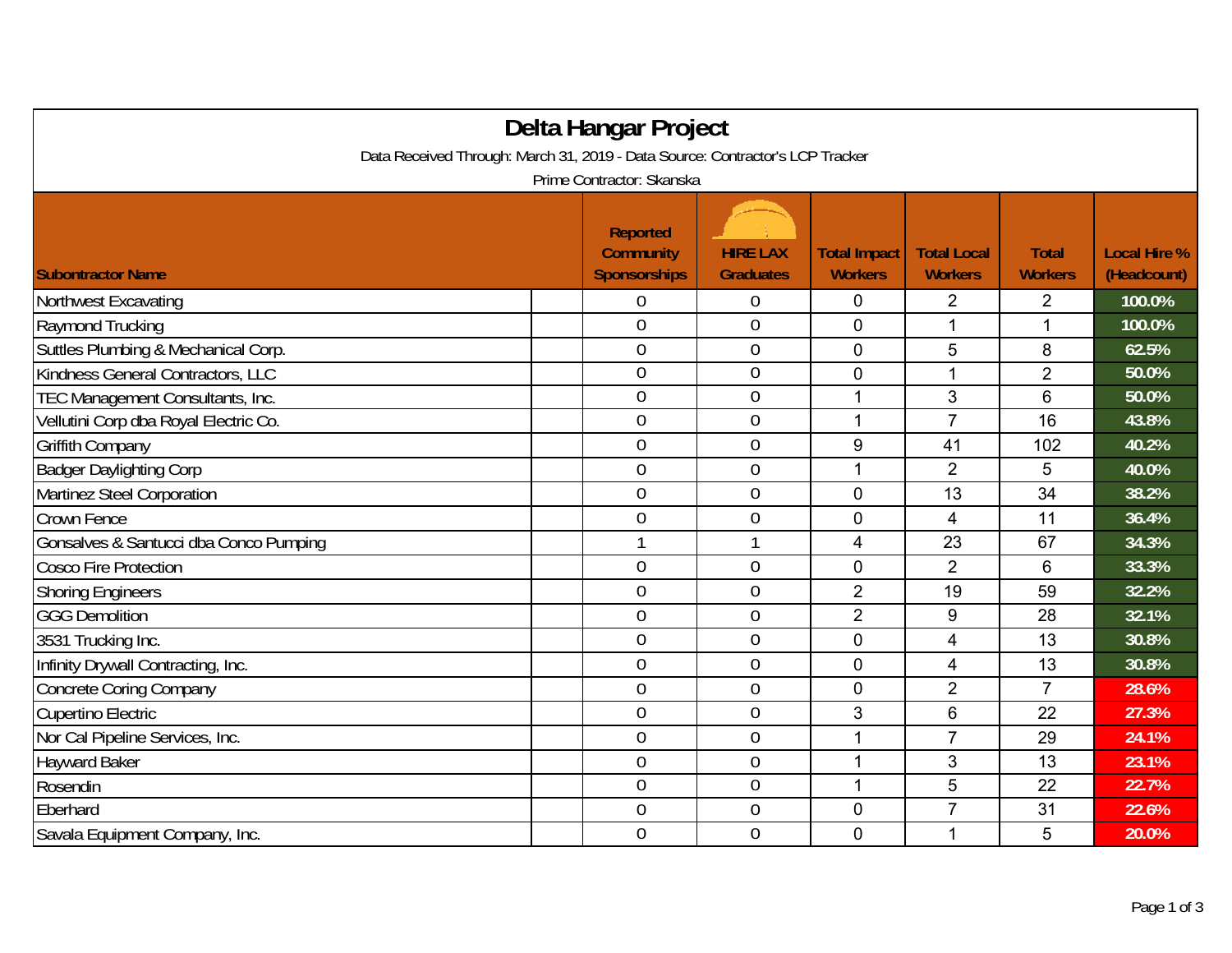| Delta Hangar Project                                                          |                                                            |                                     |                                       |                                      |                                |                                    |  |  |
|-------------------------------------------------------------------------------|------------------------------------------------------------|-------------------------------------|---------------------------------------|--------------------------------------|--------------------------------|------------------------------------|--|--|
| Data Received Through: March 31, 2019 - Data Source: Contractor's LCP Tracker |                                                            |                                     |                                       |                                      |                                |                                    |  |  |
| Prime Contractor: Skanska                                                     |                                                            |                                     |                                       |                                      |                                |                                    |  |  |
| <b>Subontractor Name</b>                                                      | <b>Reported</b><br><b>Community</b><br><b>Sponsorships</b> | <b>HIRE LAX</b><br><b>Graduates</b> | <b>Total Impact</b><br><b>Workers</b> | <b>Total Local</b><br><b>Workers</b> | <b>Total</b><br><b>Workers</b> | <b>Local Hire %</b><br>(Headcount) |  |  |
| Northwest Excavating                                                          | $\boldsymbol{0}$                                           | $\boldsymbol{0}$                    | 0                                     | 2                                    | 2                              | 100.0%                             |  |  |
| Raymond Trucking                                                              | $\overline{0}$                                             | $\mathbf 0$                         | $\overline{0}$                        | 1                                    | $\mathbf{1}$                   | 100.0%                             |  |  |
| Suttles Plumbing & Mechanical Corp.                                           | $\overline{0}$                                             | $\boldsymbol{0}$                    | 0                                     | 5                                    | 8                              | 62.5%                              |  |  |
| Kindness General Contractors, LLC                                             | $\overline{0}$                                             | $\mathbf 0$                         | 0                                     |                                      | $\overline{2}$                 | 50.0%                              |  |  |
| TEC Management Consultants, Inc.                                              | $\overline{0}$                                             | $\mathbf{0}$                        |                                       | 3                                    | 6                              | 50.0%                              |  |  |
| Vellutini Corp dba Royal Electric Co.                                         | $\overline{0}$                                             | $\mathbf 0$                         | 1                                     | $\overline{7}$                       | 16                             | 43.8%                              |  |  |
| <b>Griffith Company</b>                                                       | $\overline{0}$                                             | $\boldsymbol{0}$                    | 9                                     | 41                                   | 102                            | 40.2%                              |  |  |
| <b>Badger Daylighting Corp</b>                                                | $\boldsymbol{0}$                                           | $\mathbf 0$                         | $\mathbf 1$                           | $\overline{2}$                       | 5                              | 40.0%                              |  |  |
| Martinez Steel Corporation                                                    | $\overline{0}$                                             | $\mathbf 0$                         | $\mathbf 0$                           | 13                                   | 34                             | 38.2%                              |  |  |
| Crown Fence                                                                   | $\overline{0}$                                             | $\mathbf 0$                         | 0                                     | 4                                    | 11                             | 36.4%                              |  |  |
| Gonsalves & Santucci dba Conco Pumping                                        |                                                            | $\mathbf{1}$                        | 4                                     | 23                                   | 67                             | 34.3%                              |  |  |
| <b>Cosco Fire Protection</b>                                                  | $\overline{0}$                                             | $\boldsymbol{0}$                    | 0                                     | $\overline{2}$                       | $6\phantom{1}6$                | 33.3%                              |  |  |
| <b>Shoring Engineers</b>                                                      | $\overline{0}$                                             | $\mathbf 0$                         | $\overline{2}$                        | 19                                   | 59                             | 32.2%                              |  |  |
| <b>GGG Demolition</b>                                                         | $\overline{0}$                                             | $\overline{0}$                      | $\overline{2}$                        | 9                                    | 28                             | 32.1%                              |  |  |
| 3531 Trucking Inc.                                                            | $\overline{0}$                                             | $\boldsymbol{0}$                    | 0                                     | 4                                    | 13                             | 30.8%                              |  |  |
| Infinity Drywall Contracting, Inc.                                            | $\overline{0}$                                             | $\boldsymbol{0}$                    | $\overline{0}$                        | $\overline{4}$                       | 13                             | 30.8%                              |  |  |
| <b>Concrete Coring Company</b>                                                | $\overline{0}$                                             | $\mathbf 0$                         | 0                                     | $\overline{2}$                       | $\overline{7}$                 | 28.6%                              |  |  |
| Cupertino Electric                                                            | $\overline{0}$                                             | $\mathbf 0$                         | 3                                     | 6                                    | 22                             | 27.3%                              |  |  |
| Nor Cal Pipeline Services, Inc.                                               | $\overline{0}$                                             | $\boldsymbol{0}$                    | 1                                     | $\overline{7}$                       | 29                             | 24.1%                              |  |  |
| <b>Hayward Baker</b>                                                          | $\overline{0}$                                             | $\mathbf 0$                         | 1                                     | 3                                    | 13                             | 23.1%                              |  |  |
| Rosendin                                                                      | $\overline{0}$                                             | $\boldsymbol{0}$                    | 1                                     | 5                                    | 22                             | 22.7%                              |  |  |
| Eberhard                                                                      | $\overline{0}$                                             | $\mathbf{0}$                        | 0                                     | $\overline{7}$                       | 31                             | 22.6%                              |  |  |
| Savala Equipment Company, Inc.                                                | $\overline{0}$                                             | $\boldsymbol{0}$                    | 0                                     | 1                                    | 5                              | 20.0%                              |  |  |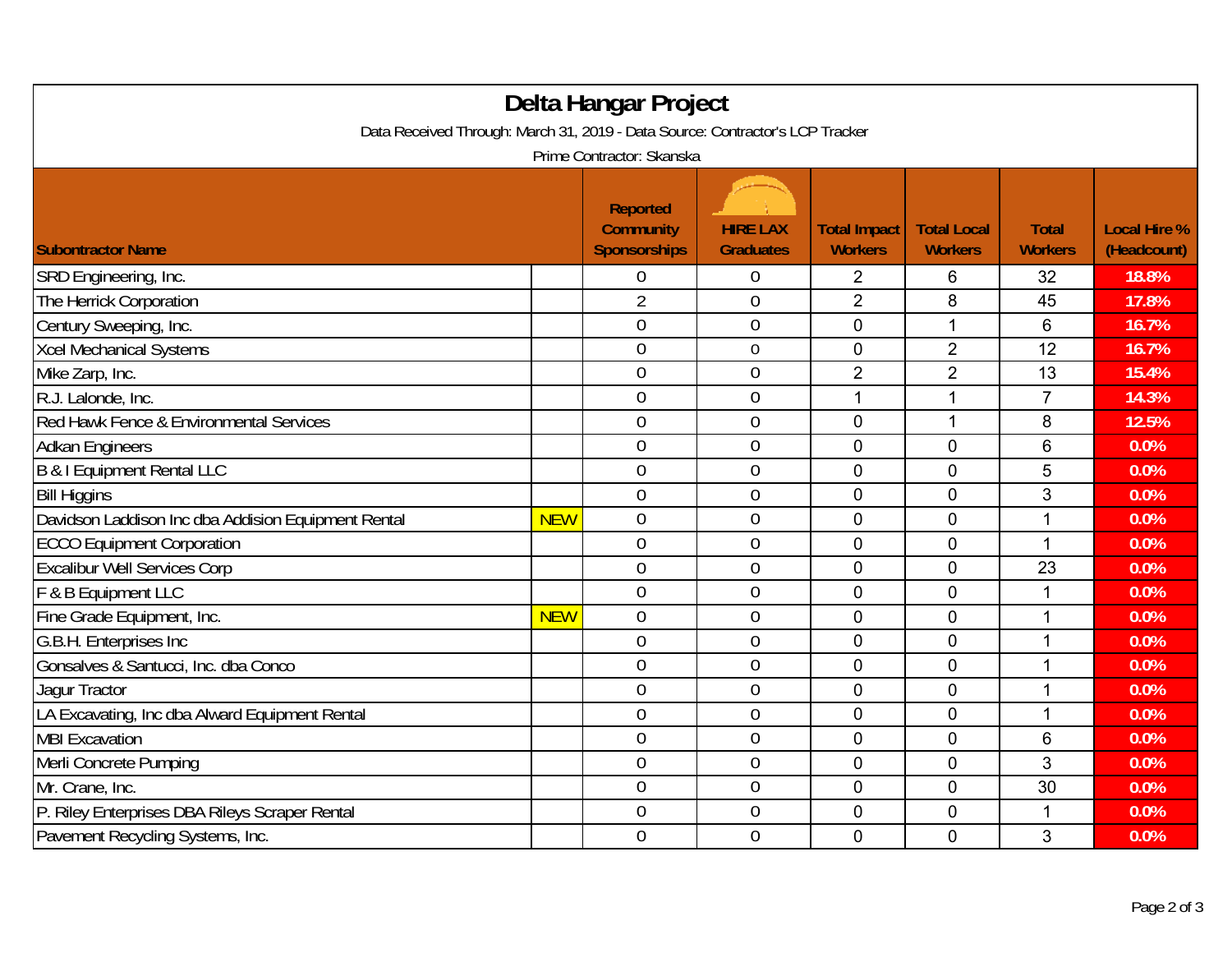| Delta Hangar Project                                                                                       |            |                                                     |                                     |                                       |                                      |                                |                                    |  |
|------------------------------------------------------------------------------------------------------------|------------|-----------------------------------------------------|-------------------------------------|---------------------------------------|--------------------------------------|--------------------------------|------------------------------------|--|
| Data Received Through: March 31, 2019 - Data Source: Contractor's LCP Tracker<br>Prime Contractor: Skanska |            |                                                     |                                     |                                       |                                      |                                |                                    |  |
| <b>Subontractor Name</b>                                                                                   |            | Reported<br><b>Community</b><br><b>Sponsorships</b> | <b>HIRE LAX</b><br><b>Graduates</b> | <b>Total Impact</b><br><b>Workers</b> | <b>Total Local</b><br><b>Workers</b> | <b>Total</b><br><b>Workers</b> | <b>Local Hire %</b><br>(Headcount) |  |
|                                                                                                            |            | $\boldsymbol{0}$                                    | $\boldsymbol{0}$                    |                                       |                                      |                                | 18.8%                              |  |
| SRD Engineering, Inc.<br>The Herrick Corporation                                                           |            | $\overline{2}$                                      | $\theta$                            | 2<br>$\overline{2}$                   | 6<br>8                               | 32<br>45                       | 17.8%                              |  |
| Century Sweeping, Inc.                                                                                     |            | $\theta$                                            | $\mathbf 0$                         | 0                                     | 1                                    | 6                              | 16.7%                              |  |
| <b>Xcel Mechanical Systems</b>                                                                             |            | $\boldsymbol{0}$                                    | $\boldsymbol{0}$                    | 0                                     | $\overline{2}$                       | 12                             | 16.7%                              |  |
| Mike Zarp, Inc.                                                                                            |            | $\theta$                                            | $\boldsymbol{0}$                    | $\overline{2}$                        | $\overline{2}$                       | 13                             | 15.4%                              |  |
| R.J. Lalonde, Inc.                                                                                         |            | $\mathbf 0$                                         | $\mathbf 0$                         | 1                                     | 1                                    | $\overline{7}$                 | 14.3%                              |  |
| Red Hawk Fence & Environmental Services                                                                    |            | $\overline{0}$                                      | $\boldsymbol{0}$                    | 0                                     | 1                                    | 8                              | 12.5%                              |  |
| <b>Adkan Engineers</b>                                                                                     |            | $\overline{0}$                                      | $\overline{0}$                      | 0                                     | $\mathbf 0$                          | $6\phantom{1}6$                | 0.0%                               |  |
| <b>B &amp; I Equipment Rental LLC</b>                                                                      |            | $\mathbf 0$                                         | $\mathbf 0$                         | 0                                     | $\overline{0}$                       | 5                              | 0.0%                               |  |
| <b>Bill Higgins</b>                                                                                        |            | $\boldsymbol{0}$                                    | $\overline{0}$                      | 0                                     | $\overline{0}$                       | 3                              | 0.0%                               |  |
| Davidson Laddison Inc dba Addision Equipment Rental                                                        | <b>NEW</b> | $\overline{0}$                                      | $\overline{0}$                      | 0                                     | $\mathbf 0$                          | 1                              | 0.0%                               |  |
| <b>ECCO Equipment Corporation</b>                                                                          |            | $\overline{0}$                                      | $\mathbf 0$                         | 0                                     | $\overline{0}$                       | 1                              | 0.0%                               |  |
| <b>Excalibur Well Services Corp</b>                                                                        |            | $\overline{0}$                                      | $\mathbf 0$                         | 0                                     | $\overline{0}$                       | 23                             | 0.0%                               |  |
| F & B Equipment LLC                                                                                        |            | $\overline{0}$                                      | $\mathbf 0$                         | 0                                     | $\overline{0}$                       | 1                              | 0.0%                               |  |
| Fine Grade Equipment, Inc.                                                                                 | <b>NEW</b> | $\theta$                                            | $\boldsymbol{0}$                    | 0                                     | $\overline{0}$                       | 1                              | 0.0%                               |  |
| G.B.H. Enterprises Inc                                                                                     |            | $\overline{0}$                                      | $\overline{0}$                      | 0                                     | $\mathbf 0$                          | 1                              | 0.0%                               |  |
| Gonsalves & Santucci, Inc. dba Conco                                                                       |            | $\overline{0}$                                      | $\overline{0}$                      | 0                                     | $\Omega$                             | 1                              | 0.0%                               |  |
| Jagur Tractor                                                                                              |            | $\theta$                                            | $\mathbf 0$                         | 0                                     | $\overline{0}$                       | 1                              | 0.0%                               |  |
| LA Excavating, Inc dba Alward Equipment Rental                                                             |            | $\overline{0}$                                      | $\overline{0}$                      | 0                                     | $\mathbf 0$                          | 1                              | 0.0%                               |  |
| <b>MBI Excavation</b>                                                                                      |            | $\overline{0}$                                      | $\mathbf 0$                         | 0                                     | $\overline{0}$                       | 6                              | 0.0%                               |  |
| Merli Concrete Pumping                                                                                     |            | $\boldsymbol{0}$                                    | $\boldsymbol{0}$                    | 0                                     | $\mathbf 0$                          | 3                              | 0.0%                               |  |
| Mr. Crane, Inc.                                                                                            |            | $\boldsymbol{0}$                                    | $\boldsymbol{0}$                    | 0                                     | $\mathbf 0$                          | 30                             | 0.0%                               |  |
| P. Riley Enterprises DBA Rileys Scraper Rental                                                             |            | $\overline{0}$                                      | $\mathbf 0$                         | 0                                     | $\overline{0}$                       | 1                              | 0.0%                               |  |
| Pavement Recycling Systems, Inc.                                                                           |            | $\overline{0}$                                      | $\mathbf 0$                         | 0                                     | $\mathbf 0$                          | 3                              | 0.0%                               |  |